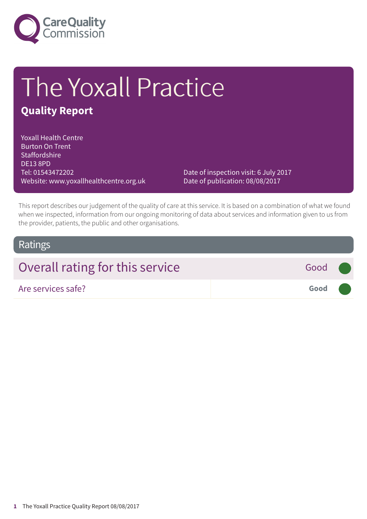

# The Yoxall Practice

### **Quality Report**

Yoxall Health Centre Burton On Trent **Staffordshire** DE13 8PD Tel: 01543472202 Website: www.yoxallhealthcentre.org.uk

Date of inspection visit: 6 July 2017 Date of publication: 08/08/2017

This report describes our judgement of the quality of care at this service. It is based on a combination of what we found when we inspected, information from our ongoing monitoring of data about services and information given to us from the provider, patients, the public and other organisations.

### Ratings

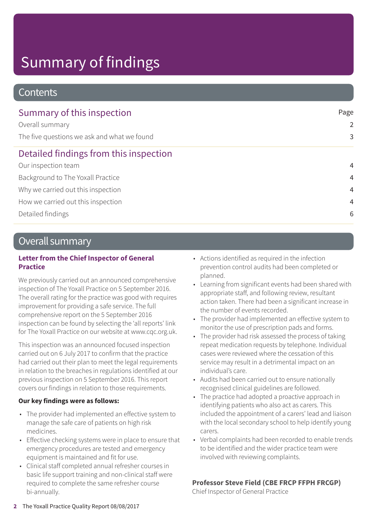# Summary of findings

### **Contents**

| Summary of this inspection                  | Page<br>2<br>3 |
|---------------------------------------------|----------------|
| Overall summary                             |                |
| The five questions we ask and what we found |                |
| Detailed findings from this inspection      |                |
| Our inspection team                         | $\overline{4}$ |
| Background to The Yoxall Practice           | $\overline{4}$ |
| Why we carried out this inspection          | $\overline{4}$ |
| How we carried out this inspection          | 4              |
| Detailed findings                           | 6              |

### Overall summary

#### **Letter from the Chief Inspector of General Practice**

We previously carried out an announced comprehensive inspection of The Yoxall Practice on 5 September 2016. The overall rating for the practice was good with requires improvement for providing a safe service. The full comprehensive report on the 5 September 2016 inspection can be found by selecting the 'all reports' link for The Yoxall Practice on our website at www.cqc.org.uk.

This inspection was an announced focused inspection carried out on 6 July 2017 to confirm that the practice had carried out their plan to meet the legal requirements in relation to the breaches in regulations identified at our previous inspection on 5 September 2016. This report covers our findings in relation to those requirements.

### **Our key findings were as follows:**

- The provider had implemented an effective system to manage the safe care of patients on high risk medicines.
- Effective checking systems were in place to ensure that emergency procedures are tested and emergency equipment is maintained and fit for use.
- Clinical staff completed annual refresher courses in basic life support training and non-clinical staff were required to complete the same refresher course bi-annually.
- Actions identified as required in the infection prevention control audits had been completed or planned.
- Learning from significant events had been shared with appropriate staff, and following review, resultant action taken. There had been a significant increase in the number of events recorded.
- The provider had implemented an effective system to monitor the use of prescription pads and forms.
- The provider had risk assessed the process of taking repeat medication requests by telephone. Individual cases were reviewed where the cessation of this service may result in a detrimental impact on an individual's care.
- Audits had been carried out to ensure nationally recognised clinical guidelines are followed.
- The practice had adopted a proactive approach in identifying patients who also act as carers. This included the appointment of a carers' lead and liaison with the local secondary school to help identify young carers.
- Verbal complaints had been recorded to enable trends to be identified and the wider practice team were involved with reviewing complaints.

### **Professor Steve Field (CBE FRCP FFPH FRCGP)**

Chief Inspector of General Practice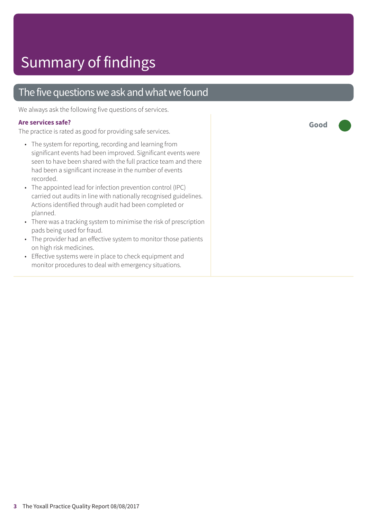### The five questions we ask and what we found

We always ask the following five questions of services.

#### **Are services safe?**

The practice is rated as good for providing safe services.

- The system for reporting, recording and learning from significant events had been improved. Significant events were seen to have been shared with the full practice team and there had been a significant increase in the number of events recorded.
- The appointed lead for infection prevention control (IPC) carried out audits in line with nationally recognised guidelines. Actions identified through audit had been completed or planned.
- There was a tracking system to minimise the risk of prescription pads being used for fraud.
- The provider had an effective system to monitor those patients on high risk medicines.
- Effective systems were in place to check equipment and monitor procedures to deal with emergency situations.

**Good –––**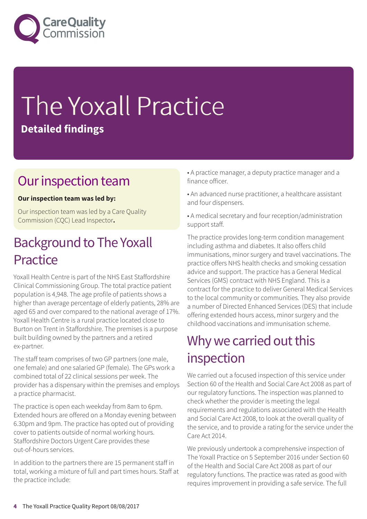

# The Yoxall Practice **Detailed findings**

### Our inspection team

### **Our inspection team was led by:**

Our inspection team was led by a Care Quality Commission (CQC) Lead Inspector**.**

### **Background to The Yoxall Practice**

Yoxall Health Centre is part of the NHS East Staffordshire Clinical Commissioning Group. The total practice patient population is 4,948. The age profile of patients shows a higher than average percentage of elderly patients, 28% are aged 65 and over compared to the national average of 17%. Yoxall Health Centre is a rural practice located close to Burton on Trent in Staffordshire. The premises is a purpose built building owned by the partners and a retired ex-partner.

The staff team comprises of two GP partners (one male, one female) and one salaried GP (female). The GPs work a combined total of 22 clinical sessions per week. The provider has a dispensary within the premises and employs a practice pharmacist.

The practice is open each weekday from 8am to 6pm. Extended hours are offered on a Monday evening between 6.30pm and 9pm. The practice has opted out of providing cover to patients outside of normal working hours. Staffordshire Doctors Urgent Care provides these out-of-hours services.

In addition to the partners there are 15 permanent staff in total, working a mixture of full and part times hours. Staff at the practice include:

- A practice manager, a deputy practice manager and a finance officer.
- An advanced nurse practitioner, a healthcare assistant and four dispensers.
- A medical secretary and four reception/administration support staff.

The practice provides long-term condition management including asthma and diabetes. It also offers child immunisations, minor surgery and travel vaccinations. The practice offers NHS health checks and smoking cessation advice and support. The practice has a General Medical Services (GMS) contract with NHS England. This is a contract for the practice to deliver General Medical Services to the local community or communities. They also provide a number of Directed Enhanced Services (DES) that include offering extended hours access, minor surgery and the childhood vaccinations and immunisation scheme.

### Why we carried out this inspection

We carried out a focused inspection of this service under Section 60 of the Health and Social Care Act 2008 as part of our regulatory functions. The inspection was planned to check whether the provider is meeting the legal requirements and regulations associated with the Health and Social Care Act 2008, to look at the overall quality of the service, and to provide a rating for the service under the Care Act 2014.

We previously undertook a comprehensive inspection of The Yoxall Practice on 5 September 2016 under Section 60 of the Health and Social Care Act 2008 as part of our regulatory functions. The practice was rated as good with requires improvement in providing a safe service. The full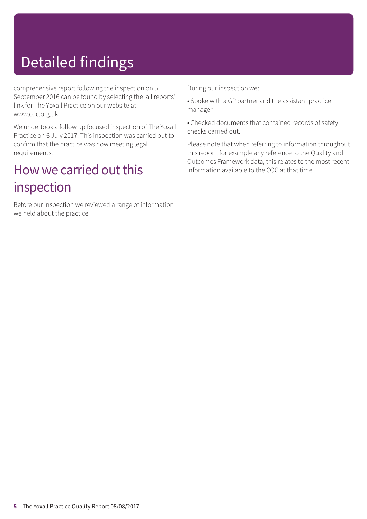# Detailed findings

comprehensive report following the inspection on 5 September 2016 can be found by selecting the 'all reports' link for The Yoxall Practice on our website at www.cqc.org.uk.

We undertook a follow up focused inspection of The Yoxall Practice on 6 July 2017. This inspection was carried out to confirm that the practice was now meeting legal requirements.

### How we carried out this inspection

Before our inspection we reviewed a range of information we held about the practice.

During our inspection we:

- Spoke with a GP partner and the assistant practice manager.
- Checked documents that contained records of safety checks carried out.

Please note that when referring to information throughout this report, for example any reference to the Quality and Outcomes Framework data, this relates to the most recent information available to the CQC at that time.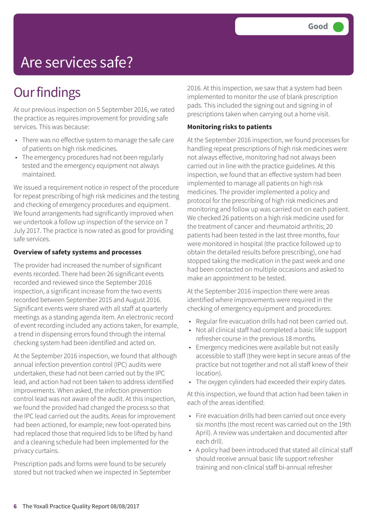# Are services safe?

# **Our findings**

At our previous inspection on 5 September 2016, we rated the practice as requires improvement for providing safe services. This was because:

- There was no effective system to manage the safe care of patients on high risk medicines.
- The emergency procedures had not been regularly tested and the emergency equipment not always maintained.

We issued a requirement notice in respect of the procedure for repeat prescribing of high risk medicines and the testing and checking of emergency procedures and equipment. We found arrangements had significantly improved when we undertook a follow up inspection of the service on 7 July 2017. The practice is now rated as good for providing safe services.

#### **Overview of safety systems and processes**

The provider had increased the number of significant events recorded. There had been 26 significant events recorded and reviewed since the September 2016 inspection, a significant increase from the two events recorded between September 2015 and August 2016. Significant events were shared with all staff at quarterly meetings as a standing agenda item. An electronic record of event recording included any actions taken, for example, a trend in dispensing errors found through the internal checking system had been identified and acted on.

At the September 2016 inspection, we found that although annual infection prevention control (IPC) audits were undertaken, these had not been carried out by the IPC lead, and action had not been taken to address identified improvements. When asked, the infection prevention control lead was not aware of the audit. At this inspection, we found the provided had changed the process so that the IPC lead carried out the audits. Areas for improvement had been actioned, for example; new foot-operated bins had replaced those that required lids to be lifted by hand and a cleaning schedule had been implemented for the privacy curtains.

Prescription pads and forms were found to be securely stored but not tracked when we inspected in September 2016. At this inspection, we saw that a system had been implemented to monitor the use of blank prescription pads. This included the signing out and signing in of prescriptions taken when carrying out a home visit.

#### **Monitoring risks to patients**

At the September 2016 inspection, we found processes for handling repeat prescriptions of high risk medicines were not always effective, monitoring had not always been carried out in line with the practice guidelines. At this inspection, we found that an effective system had been implemented to manage all patients on high risk medicines. The provider implemented a policy and protocol for the prescribing of high risk medicines and monitoring and follow up was carried out on each patient. We checked 26 patients on a high risk medicine used for the treatment of cancer and rheumatoid arthritis; 20 patients had been tested in the last three months, four were monitored in hospital (the practice followed up to obtain the detailed results before prescribing), one had stopped taking the medication in the past week and one had been contacted on multiple occasions and asked to make an appointment to be tested.

At the September 2016 inspection there were areas identified where improvements were required in the checking of emergency equipment and procedures:

- Regular fire evacuation drills had not been carried out.
- Not all clinical staff had completed a basic life support refresher course in the previous 18 months.
- Emergency medicines were available but not easily accessible to staff (they were kept in secure areas of the practice but not together and not all staff knew of their location).
- The oxygen cylinders had exceeded their expiry dates.

At this inspection, we found that action had been taken in each of the areas identified:

- Fire evacuation drills had been carried out once every six months (the most recent was carried out on the 19th April). A review was undertaken and documented after each drill.
- A policy had been introduced that stated all clinical staff should receive annual basic life support refresher training and non-clinical staff bi-annual refresher